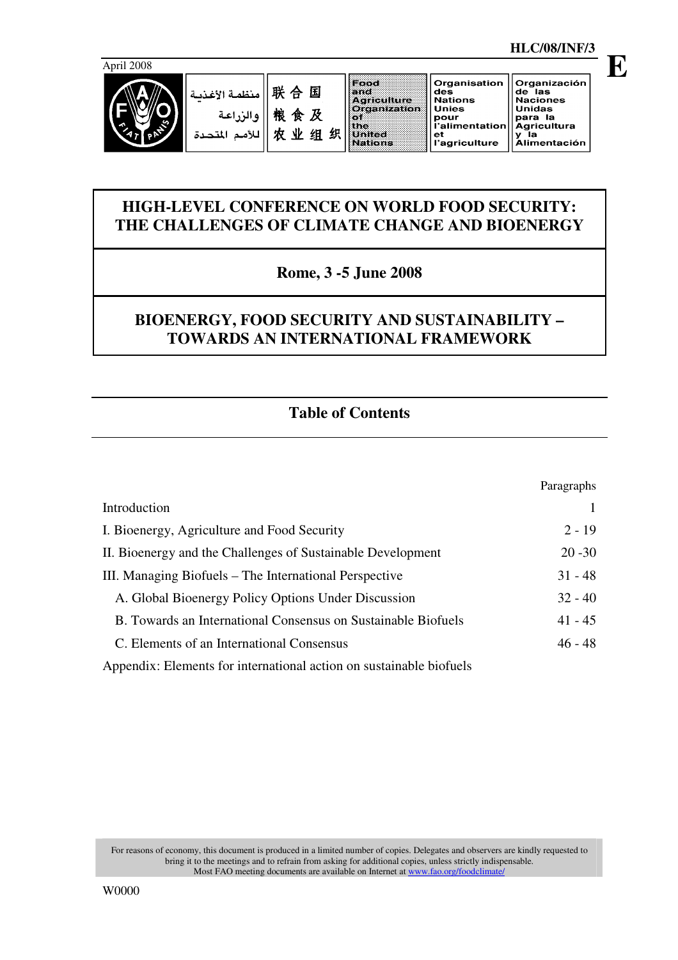

Organización

de las<br>Naciones<br>Unidas

para la<br>Agricultura<br>y la

Agricultura<br>y la<br>Alimentación

Organisation

onco<br>pour<br>l'alimentation

.<br>l'agriculture

des<br>Nations

**Unies** 

 $_{\rm et}$ 

**E**

# **HIGH-LEVEL CONFERENCE ON WORLD FOOD SECURITY: THE CHALLENGES OF CLIMATE CHANGE AND BIOENERGY**

# **Rome, 3 -5 June 2008**

# **BIOENERGY, FOOD SECURITY AND SUSTAINABILITY – TOWARDS AN INTERNATIONAL FRAMEWORK**

# **Table of Contents**

|                                                                     | Paragraphs |
|---------------------------------------------------------------------|------------|
| Introduction                                                        |            |
| I. Bioenergy, Agriculture and Food Security                         | $2 - 19$   |
| II. Bioenergy and the Challenges of Sustainable Development         | $20 - 30$  |
| III. Managing Biofuels – The International Perspective              | $31 - 48$  |
| A. Global Bioenergy Policy Options Under Discussion                 | $32 - 40$  |
| B. Towards an International Consensus on Sustainable Biofuels       | $41 - 45$  |
| C. Elements of an International Consensus                           | $46 - 48$  |
| Appendix: Elements for international action on sustainable biofuels |            |

For reasons of economy, this document is produced in a limited number of copies. Delegates and observers are kindly requested to bring it to the meetings and to refrain from asking for additional copies, unless strictly indispensable. Most FAO meeting documents are available on Internet at www.fao.org/foodclimate/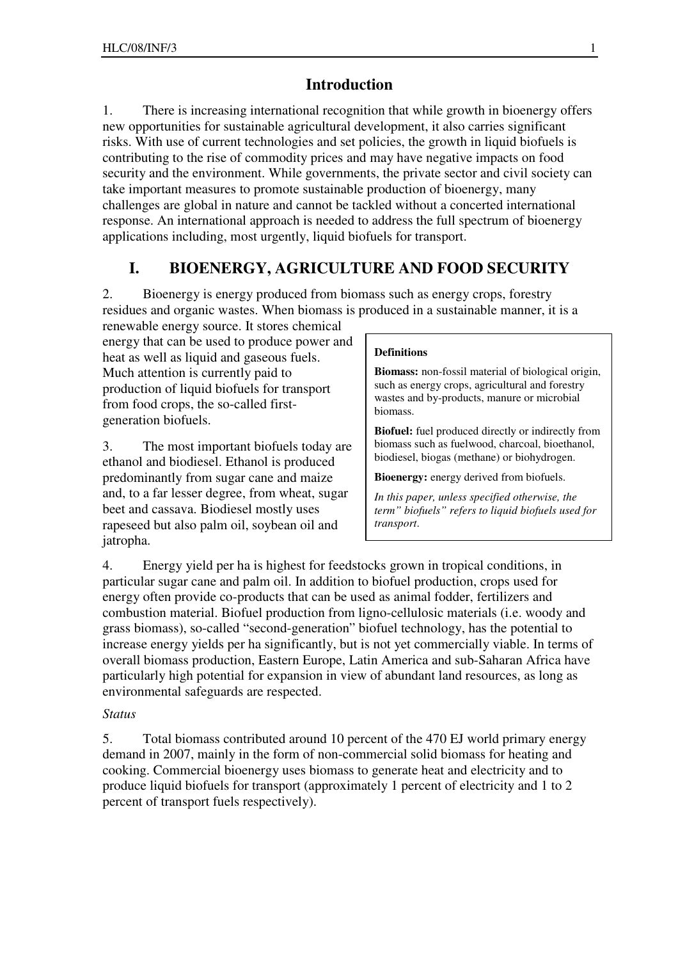## **Introduction**

1. There is increasing international recognition that while growth in bioenergy offers new opportunities for sustainable agricultural development, it also carries significant risks. With use of current technologies and set policies, the growth in liquid biofuels is contributing to the rise of commodity prices and may have negative impacts on food security and the environment. While governments, the private sector and civil society can take important measures to promote sustainable production of bioenergy, many challenges are global in nature and cannot be tackled without a concerted international response. An international approach is needed to address the full spectrum of bioenergy applications including, most urgently, liquid biofuels for transport.

# **I. BIOENERGY, AGRICULTURE AND FOOD SECURITY**

2. Bioenergy is energy produced from biomass such as energy crops, forestry residues and organic wastes. When biomass is produced in a sustainable manner, it is a

renewable energy source. It stores chemical energy that can be used to produce power and heat as well as liquid and gaseous fuels. Much attention is currently paid to production of liquid biofuels for transport from food crops, the so-called firstgeneration biofuels.

3. The most important biofuels today are ethanol and biodiesel. Ethanol is produced predominantly from sugar cane and maize and, to a far lesser degree, from wheat, sugar beet and cassava. Biodiesel mostly uses rapeseed but also palm oil, soybean oil and jatropha.

#### **Definitions**

**Biomass:** non-fossil material of biological origin, such as energy crops, agricultural and forestry wastes and by-products, manure or microbial biomass.

**Biofuel:** fuel produced directly or indirectly from biomass such as fuelwood, charcoal, bioethanol, biodiesel, biogas (methane) or biohydrogen.

**Bioenergy:** energy derived from biofuels.

*In this paper, unless specified otherwise, the term" biofuels" refers to liquid biofuels used for transport*.

4. Energy yield per ha is highest for feedstocks grown in tropical conditions, in particular sugar cane and palm oil. In addition to biofuel production, crops used for energy often provide co-products that can be used as animal fodder, fertilizers and combustion material. Biofuel production from ligno-cellulosic materials (i.e. woody and grass biomass), so-called "second-generation" biofuel technology, has the potential to increase energy yields per ha significantly, but is not yet commercially viable. In terms of overall biomass production, Eastern Europe, Latin America and sub-Saharan Africa have particularly high potential for expansion in view of abundant land resources, as long as environmental safeguards are respected.

#### *Status*

5. Total biomass contributed around 10 percent of the 470 EJ world primary energy demand in 2007, mainly in the form of non-commercial solid biomass for heating and cooking. Commercial bioenergy uses biomass to generate heat and electricity and to produce liquid biofuels for transport (approximately 1 percent of electricity and 1 to 2 percent of transport fuels respectively).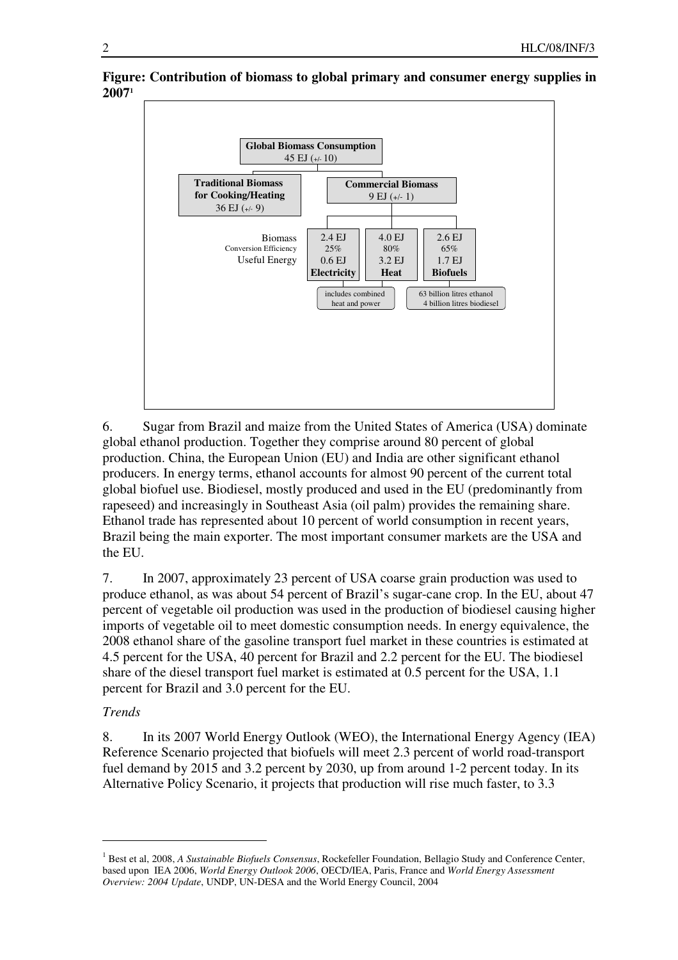

**Figure: Contribution of biomass to global primary and consumer energy supplies in 2007<sup>1</sup>**

6. Sugar from Brazil and maize from the United States of America (USA) dominate global ethanol production. Together they comprise around 80 percent of global production. China, the European Union (EU) and India are other significant ethanol producers. In energy terms, ethanol accounts for almost 90 percent of the current total global biofuel use. Biodiesel, mostly produced and used in the EU (predominantly from rapeseed) and increasingly in Southeast Asia (oil palm) provides the remaining share. Ethanol trade has represented about 10 percent of world consumption in recent years, Brazil being the main exporter. The most important consumer markets are the USA and the EU.

7. In 2007, approximately 23 percent of USA coarse grain production was used to produce ethanol, as was about 54 percent of Brazil's sugar-cane crop. In the EU, about 47 percent of vegetable oil production was used in the production of biodiesel causing higher imports of vegetable oil to meet domestic consumption needs. In energy equivalence, the 2008 ethanol share of the gasoline transport fuel market in these countries is estimated at 4.5 percent for the USA, 40 percent for Brazil and 2.2 percent for the EU. The biodiesel share of the diesel transport fuel market is estimated at 0.5 percent for the USA, 1.1 percent for Brazil and 3.0 percent for the EU.

## *Trends*

 $\overline{a}$ 

8. In its 2007 World Energy Outlook (WEO), the International Energy Agency (IEA) Reference Scenario projected that biofuels will meet 2.3 percent of world road-transport fuel demand by 2015 and 3.2 percent by 2030, up from around 1-2 percent today. In its Alternative Policy Scenario, it projects that production will rise much faster, to 3.3

<sup>&</sup>lt;sup>1</sup> Best et al, 2008, *A Sustainable Biofuels Consensus*, Rockefeller Foundation, Bellagio Study and Conference Center, based upon IEA 2006, *World Energy Outlook 2006*, OECD/IEA, Paris, France and *World Energy Assessment Overview: 2004 Update*, UNDP, UN-DESA and the World Energy Council, 2004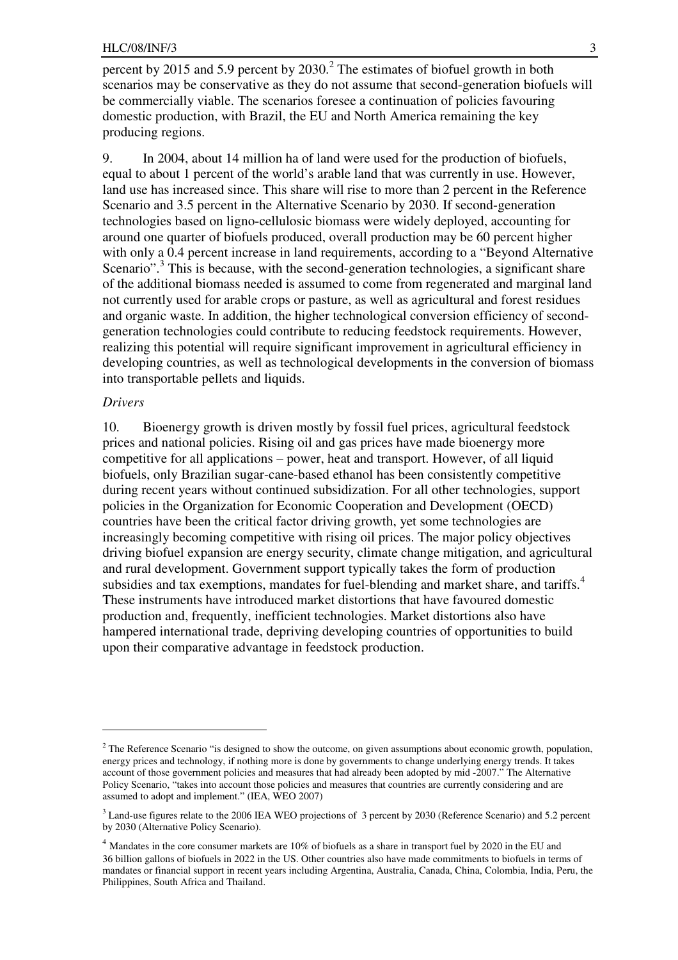percent by 2015 and 5.9 percent by  $2030<sup>2</sup>$ . The estimates of biofuel growth in both scenarios may be conservative as they do not assume that second-generation biofuels will be commercially viable. The scenarios foresee a continuation of policies favouring domestic production, with Brazil, the EU and North America remaining the key producing regions.

9. In 2004, about 14 million ha of land were used for the production of biofuels, equal to about 1 percent of the world's arable land that was currently in use. However, land use has increased since. This share will rise to more than 2 percent in the Reference Scenario and 3.5 percent in the Alternative Scenario by 2030. If second-generation technologies based on ligno-cellulosic biomass were widely deployed, accounting for around one quarter of biofuels produced, overall production may be 60 percent higher with only a 0.4 percent increase in land requirements, according to a "Beyond Alternative" Scenario".<sup>3</sup> This is because, with the second-generation technologies, a significant share of the additional biomass needed is assumed to come from regenerated and marginal land not currently used for arable crops or pasture, as well as agricultural and forest residues and organic waste. In addition, the higher technological conversion efficiency of secondgeneration technologies could contribute to reducing feedstock requirements. However, realizing this potential will require significant improvement in agricultural efficiency in developing countries, as well as technological developments in the conversion of biomass into transportable pellets and liquids.

#### *Drivers*

 $\overline{a}$ 

10. Bioenergy growth is driven mostly by fossil fuel prices, agricultural feedstock prices and national policies. Rising oil and gas prices have made bioenergy more competitive for all applications – power, heat and transport. However, of all liquid biofuels, only Brazilian sugar-cane-based ethanol has been consistently competitive during recent years without continued subsidization. For all other technologies, support policies in the Organization for Economic Cooperation and Development (OECD) countries have been the critical factor driving growth, yet some technologies are increasingly becoming competitive with rising oil prices. The major policy objectives driving biofuel expansion are energy security, climate change mitigation, and agricultural and rural development. Government support typically takes the form of production subsidies and tax exemptions, mandates for fuel-blending and market share, and tariffs.<sup>4</sup> These instruments have introduced market distortions that have favoured domestic production and, frequently, inefficient technologies. Market distortions also have hampered international trade, depriving developing countries of opportunities to build upon their comparative advantage in feedstock production.

<sup>&</sup>lt;sup>2</sup> The Reference Scenario "is designed to show the outcome, on given assumptions about economic growth, population, energy prices and technology, if nothing more is done by governments to change underlying energy trends. It takes account of those government policies and measures that had already been adopted by mid -2007." The Alternative Policy Scenario, "takes into account those policies and measures that countries are currently considering and are assumed to adopt and implement." (IEA, WEO 2007)

<sup>&</sup>lt;sup>3</sup> Land-use figures relate to the 2006 IEA WEO projections of 3 percent by 2030 (Reference Scenario) and 5.2 percent by 2030 (Alternative Policy Scenario).

<sup>4</sup> Mandates in the core consumer markets are 10% of biofuels as a share in transport fuel by 2020 in the EU and 36 billion gallons of biofuels in 2022 in the US. Other countries also have made commitments to biofuels in terms of mandates or financial support in recent years including Argentina, Australia, Canada, China, Colombia, India, Peru, the Philippines, South Africa and Thailand.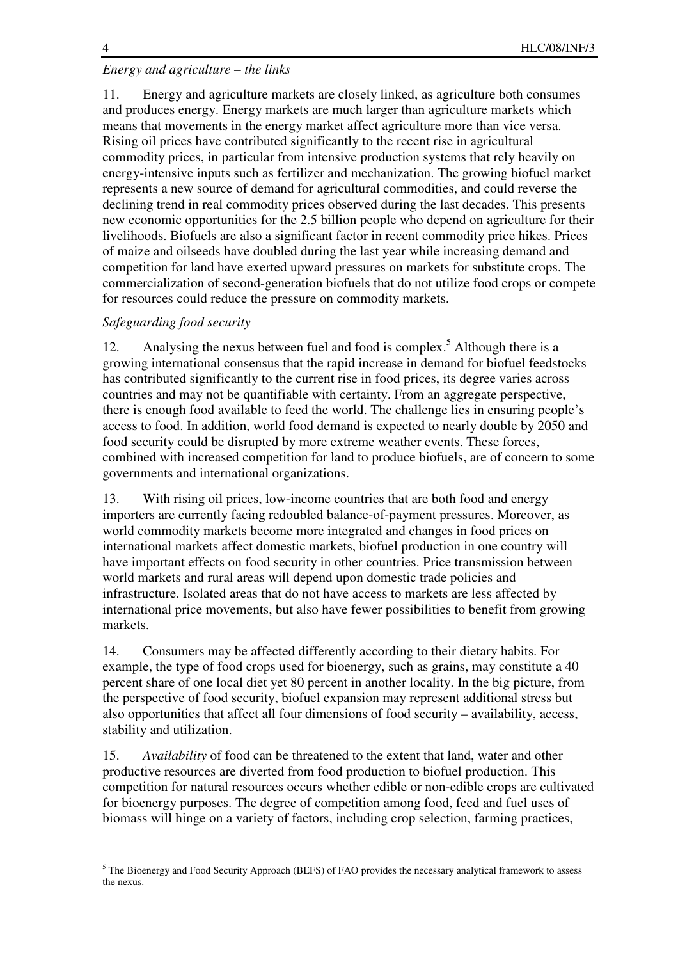$\overline{a}$ 

# *Energy and agriculture – the links*

11. Energy and agriculture markets are closely linked, as agriculture both consumes and produces energy. Energy markets are much larger than agriculture markets which means that movements in the energy market affect agriculture more than vice versa. Rising oil prices have contributed significantly to the recent rise in agricultural commodity prices, in particular from intensive production systems that rely heavily on energy-intensive inputs such as fertilizer and mechanization. The growing biofuel market represents a new source of demand for agricultural commodities, and could reverse the declining trend in real commodity prices observed during the last decades. This presents new economic opportunities for the 2.5 billion people who depend on agriculture for their livelihoods. Biofuels are also a significant factor in recent commodity price hikes. Prices of maize and oilseeds have doubled during the last year while increasing demand and competition for land have exerted upward pressures on markets for substitute crops. The commercialization of second-generation biofuels that do not utilize food crops or compete for resources could reduce the pressure on commodity markets.

## *Safeguarding food security*

12. Analysing the nexus between fuel and food is complex.<sup>5</sup> Although there is a growing international consensus that the rapid increase in demand for biofuel feedstocks has contributed significantly to the current rise in food prices, its degree varies across countries and may not be quantifiable with certainty. From an aggregate perspective, there is enough food available to feed the world. The challenge lies in ensuring people's access to food. In addition, world food demand is expected to nearly double by 2050 and food security could be disrupted by more extreme weather events. These forces, combined with increased competition for land to produce biofuels, are of concern to some governments and international organizations.

13. With rising oil prices, low-income countries that are both food and energy importers are currently facing redoubled balance-of-payment pressures. Moreover, as world commodity markets become more integrated and changes in food prices on international markets affect domestic markets, biofuel production in one country will have important effects on food security in other countries. Price transmission between world markets and rural areas will depend upon domestic trade policies and infrastructure. Isolated areas that do not have access to markets are less affected by international price movements, but also have fewer possibilities to benefit from growing markets.

14. Consumers may be affected differently according to their dietary habits. For example, the type of food crops used for bioenergy, such as grains, may constitute a 40 percent share of one local diet yet 80 percent in another locality. In the big picture, from the perspective of food security, biofuel expansion may represent additional stress but also opportunities that affect all four dimensions of food security – availability, access, stability and utilization.

15. *Availability* of food can be threatened to the extent that land, water and other productive resources are diverted from food production to biofuel production. This competition for natural resources occurs whether edible or non-edible crops are cultivated for bioenergy purposes. The degree of competition among food, feed and fuel uses of biomass will hinge on a variety of factors, including crop selection, farming practices,

<sup>&</sup>lt;sup>5</sup> The Bioenergy and Food Security Approach (BEFS) of FAO provides the necessary analytical framework to assess the nexus.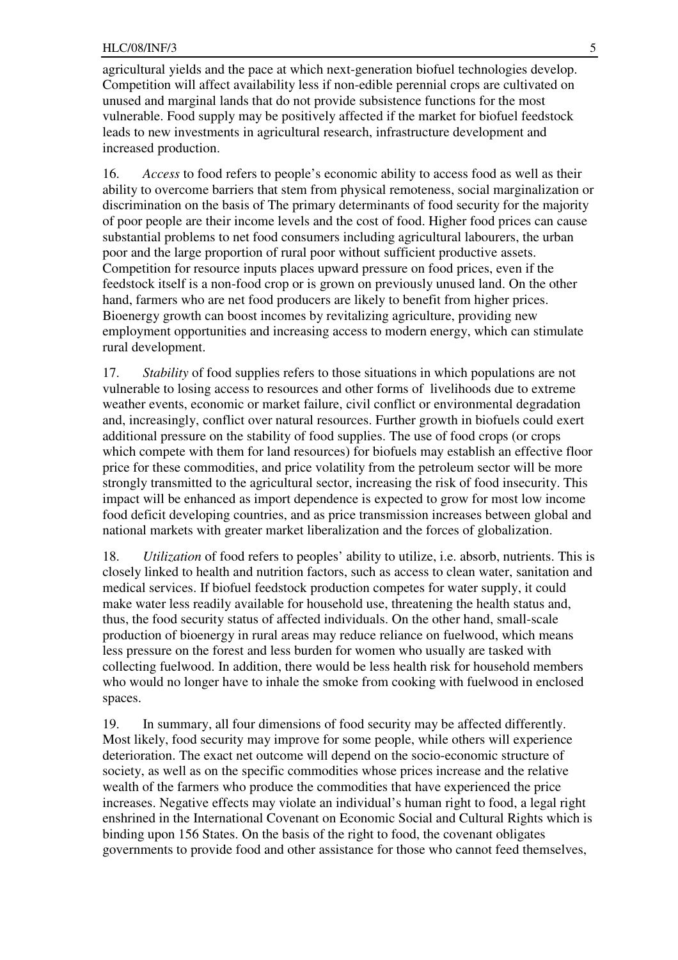#### HLC/08/INF/3 5

agricultural yields and the pace at which next-generation biofuel technologies develop. Competition will affect availability less if non-edible perennial crops are cultivated on unused and marginal lands that do not provide subsistence functions for the most vulnerable. Food supply may be positively affected if the market for biofuel feedstock leads to new investments in agricultural research, infrastructure development and increased production.

16. *Access* to food refers to people's economic ability to access food as well as their ability to overcome barriers that stem from physical remoteness, social marginalization or discrimination on the basis of The primary determinants of food security for the majority of poor people are their income levels and the cost of food. Higher food prices can cause substantial problems to net food consumers including agricultural labourers, the urban poor and the large proportion of rural poor without sufficient productive assets. Competition for resource inputs places upward pressure on food prices, even if the feedstock itself is a non-food crop or is grown on previously unused land. On the other hand, farmers who are net food producers are likely to benefit from higher prices. Bioenergy growth can boost incomes by revitalizing agriculture, providing new employment opportunities and increasing access to modern energy, which can stimulate rural development.

17. *Stability* of food supplies refers to those situations in which populations are not vulnerable to losing access to resources and other forms of livelihoods due to extreme weather events, economic or market failure, civil conflict or environmental degradation and, increasingly, conflict over natural resources. Further growth in biofuels could exert additional pressure on the stability of food supplies. The use of food crops (or crops which compete with them for land resources) for biofuels may establish an effective floor price for these commodities, and price volatility from the petroleum sector will be more strongly transmitted to the agricultural sector, increasing the risk of food insecurity. This impact will be enhanced as import dependence is expected to grow for most low income food deficit developing countries, and as price transmission increases between global and national markets with greater market liberalization and the forces of globalization.

18. *Utilization* of food refers to peoples' ability to utilize, i.e. absorb, nutrients. This is closely linked to health and nutrition factors, such as access to clean water, sanitation and medical services. If biofuel feedstock production competes for water supply, it could make water less readily available for household use, threatening the health status and, thus, the food security status of affected individuals. On the other hand, small-scale production of bioenergy in rural areas may reduce reliance on fuelwood, which means less pressure on the forest and less burden for women who usually are tasked with collecting fuelwood. In addition, there would be less health risk for household members who would no longer have to inhale the smoke from cooking with fuelwood in enclosed spaces.

19. In summary, all four dimensions of food security may be affected differently. Most likely, food security may improve for some people, while others will experience deterioration. The exact net outcome will depend on the socio-economic structure of society, as well as on the specific commodities whose prices increase and the relative wealth of the farmers who produce the commodities that have experienced the price increases. Negative effects may violate an individual's human right to food, a legal right enshrined in the International Covenant on Economic Social and Cultural Rights which is binding upon 156 States. On the basis of the right to food, the covenant obligates governments to provide food and other assistance for those who cannot feed themselves,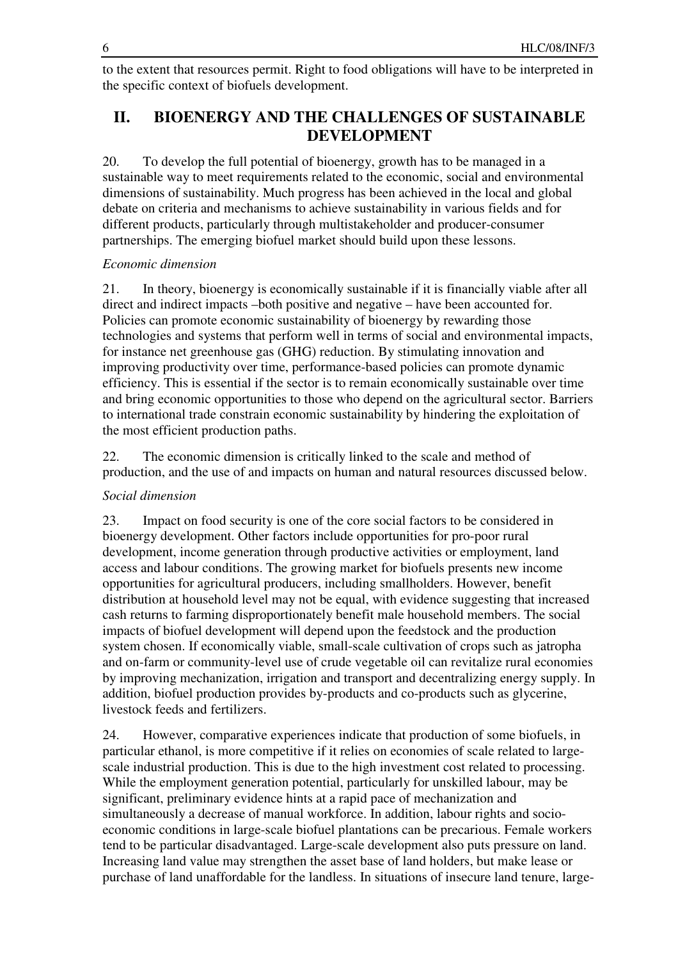to the extent that resources permit. Right to food obligations will have to be interpreted in the specific context of biofuels development.

# **II. BIOENERGY AND THE CHALLENGES OF SUSTAINABLE DEVELOPMENT**

20. To develop the full potential of bioenergy, growth has to be managed in a sustainable way to meet requirements related to the economic, social and environmental dimensions of sustainability. Much progress has been achieved in the local and global debate on criteria and mechanisms to achieve sustainability in various fields and for different products, particularly through multistakeholder and producer-consumer partnerships. The emerging biofuel market should build upon these lessons.

## *Economic dimension*

21. In theory, bioenergy is economically sustainable if it is financially viable after all direct and indirect impacts –both positive and negative – have been accounted for. Policies can promote economic sustainability of bioenergy by rewarding those technologies and systems that perform well in terms of social and environmental impacts, for instance net greenhouse gas (GHG) reduction. By stimulating innovation and improving productivity over time, performance-based policies can promote dynamic efficiency. This is essential if the sector is to remain economically sustainable over time and bring economic opportunities to those who depend on the agricultural sector. Barriers to international trade constrain economic sustainability by hindering the exploitation of the most efficient production paths.

22. The economic dimension is critically linked to the scale and method of production, and the use of and impacts on human and natural resources discussed below.

## *Social dimension*

23. Impact on food security is one of the core social factors to be considered in bioenergy development. Other factors include opportunities for pro-poor rural development, income generation through productive activities or employment, land access and labour conditions. The growing market for biofuels presents new income opportunities for agricultural producers, including smallholders. However, benefit distribution at household level may not be equal, with evidence suggesting that increased cash returns to farming disproportionately benefit male household members. The social impacts of biofuel development will depend upon the feedstock and the production system chosen. If economically viable, small-scale cultivation of crops such as jatropha and on-farm or community-level use of crude vegetable oil can revitalize rural economies by improving mechanization, irrigation and transport and decentralizing energy supply. In addition, biofuel production provides by-products and co-products such as glycerine, livestock feeds and fertilizers.

24. However, comparative experiences indicate that production of some biofuels, in particular ethanol, is more competitive if it relies on economies of scale related to largescale industrial production. This is due to the high investment cost related to processing. While the employment generation potential, particularly for unskilled labour, may be significant, preliminary evidence hints at a rapid pace of mechanization and simultaneously a decrease of manual workforce. In addition, labour rights and socioeconomic conditions in large-scale biofuel plantations can be precarious. Female workers tend to be particular disadvantaged. Large-scale development also puts pressure on land. Increasing land value may strengthen the asset base of land holders, but make lease or purchase of land unaffordable for the landless. In situations of insecure land tenure, large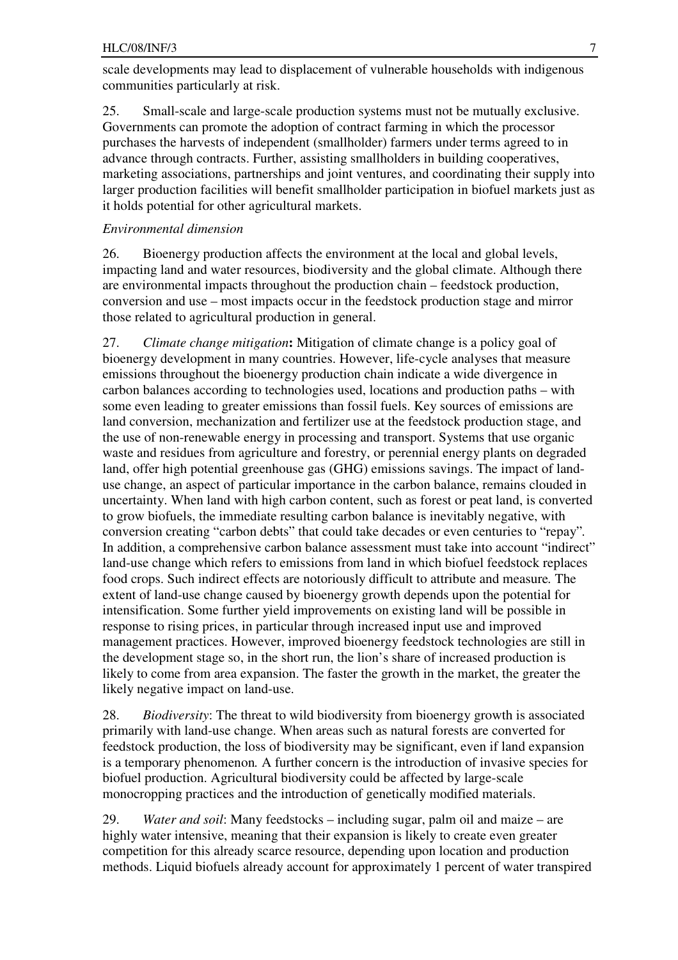scale developments may lead to displacement of vulnerable households with indigenous communities particularly at risk.

25. Small-scale and large-scale production systems must not be mutually exclusive. Governments can promote the adoption of contract farming in which the processor purchases the harvests of independent (smallholder) farmers under terms agreed to in advance through contracts. Further, assisting smallholders in building cooperatives, marketing associations, partnerships and joint ventures, and coordinating their supply into larger production facilities will benefit smallholder participation in biofuel markets just as it holds potential for other agricultural markets.

### *Environmental dimension*

26. Bioenergy production affects the environment at the local and global levels, impacting land and water resources, biodiversity and the global climate. Although there are environmental impacts throughout the production chain – feedstock production, conversion and use – most impacts occur in the feedstock production stage and mirror those related to agricultural production in general.

27. *Climate change mitigation***:** Mitigation of climate change is a policy goal of bioenergy development in many countries. However, life-cycle analyses that measure emissions throughout the bioenergy production chain indicate a wide divergence in carbon balances according to technologies used, locations and production paths – with some even leading to greater emissions than fossil fuels. Key sources of emissions are land conversion, mechanization and fertilizer use at the feedstock production stage, and the use of non-renewable energy in processing and transport. Systems that use organic waste and residues from agriculture and forestry, or perennial energy plants on degraded land, offer high potential greenhouse gas (GHG) emissions savings. The impact of landuse change, an aspect of particular importance in the carbon balance, remains clouded in uncertainty. When land with high carbon content, such as forest or peat land, is converted to grow biofuels, the immediate resulting carbon balance is inevitably negative, with conversion creating "carbon debts" that could take decades or even centuries to "repay"*.*  In addition, a comprehensive carbon balance assessment must take into account "indirect" land-use change which refers to emissions from land in which biofuel feedstock replaces food crops. Such indirect effects are notoriously difficult to attribute and measure*.* The extent of land-use change caused by bioenergy growth depends upon the potential for intensification. Some further yield improvements on existing land will be possible in response to rising prices, in particular through increased input use and improved management practices. However, improved bioenergy feedstock technologies are still in the development stage so, in the short run, the lion's share of increased production is likely to come from area expansion. The faster the growth in the market, the greater the likely negative impact on land-use.

28. *Biodiversity*: The threat to wild biodiversity from bioenergy growth is associated primarily with land-use change. When areas such as natural forests are converted for feedstock production, the loss of biodiversity may be significant, even if land expansion is a temporary phenomenon*.* A further concern is the introduction of invasive species for biofuel production. Agricultural biodiversity could be affected by large-scale monocropping practices and the introduction of genetically modified materials.

29. *Water and soil*: Many feedstocks – including sugar, palm oil and maize – are highly water intensive, meaning that their expansion is likely to create even greater competition for this already scarce resource, depending upon location and production methods. Liquid biofuels already account for approximately 1 percent of water transpired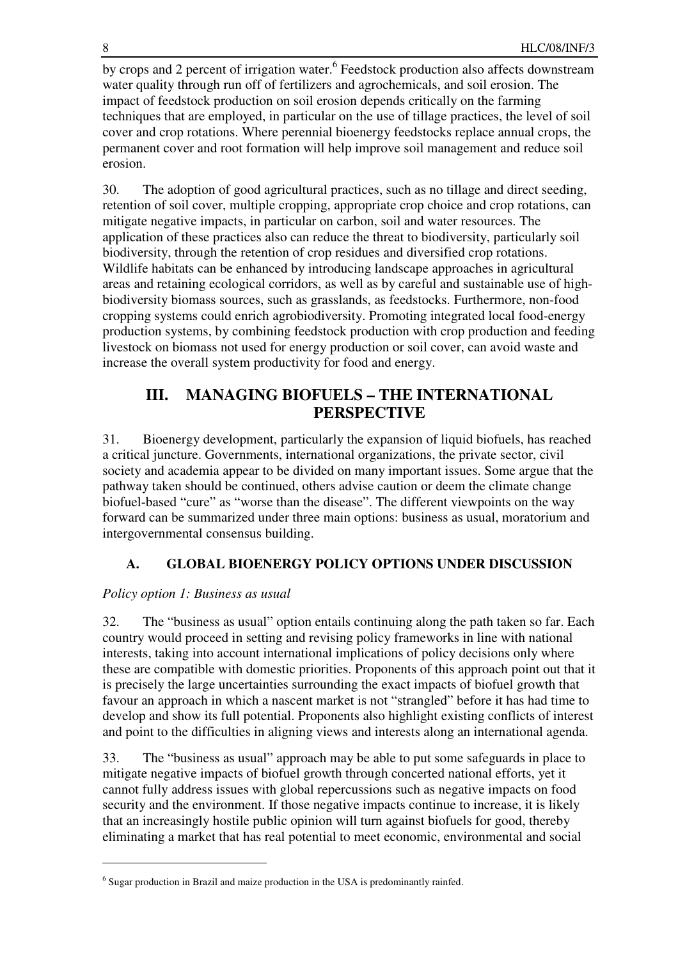by crops and 2 percent of irrigation water.<sup>6</sup> Feedstock production also affects downstream water quality through run off of fertilizers and agrochemicals, and soil erosion. The impact of feedstock production on soil erosion depends critically on the farming techniques that are employed, in particular on the use of tillage practices, the level of soil cover and crop rotations. Where perennial bioenergy feedstocks replace annual crops, the permanent cover and root formation will help improve soil management and reduce soil erosion.

30. The adoption of good agricultural practices, such as no tillage and direct seeding, retention of soil cover, multiple cropping, appropriate crop choice and crop rotations, can mitigate negative impacts, in particular on carbon, soil and water resources. The application of these practices also can reduce the threat to biodiversity, particularly soil biodiversity, through the retention of crop residues and diversified crop rotations. Wildlife habitats can be enhanced by introducing landscape approaches in agricultural areas and retaining ecological corridors, as well as by careful and sustainable use of highbiodiversity biomass sources, such as grasslands, as feedstocks. Furthermore, non-food cropping systems could enrich agrobiodiversity. Promoting integrated local food-energy production systems, by combining feedstock production with crop production and feeding livestock on biomass not used for energy production or soil cover, can avoid waste and increase the overall system productivity for food and energy.

# **III. MANAGING BIOFUELS – THE INTERNATIONAL PERSPECTIVE**

31. Bioenergy development, particularly the expansion of liquid biofuels, has reached a critical juncture. Governments, international organizations, the private sector, civil society and academia appear to be divided on many important issues. Some argue that the pathway taken should be continued, others advise caution or deem the climate change biofuel-based "cure" as "worse than the disease". The different viewpoints on the way forward can be summarized under three main options: business as usual, moratorium and intergovernmental consensus building.

# **A. GLOBAL BIOENERGY POLICY OPTIONS UNDER DISCUSSION**

## *Policy option 1: Business as usual*

 $\overline{a}$ 

32. The "business as usual" option entails continuing along the path taken so far. Each country would proceed in setting and revising policy frameworks in line with national interests, taking into account international implications of policy decisions only where these are compatible with domestic priorities. Proponents of this approach point out that it is precisely the large uncertainties surrounding the exact impacts of biofuel growth that favour an approach in which a nascent market is not "strangled" before it has had time to develop and show its full potential. Proponents also highlight existing conflicts of interest and point to the difficulties in aligning views and interests along an international agenda.

33. The "business as usual" approach may be able to put some safeguards in place to mitigate negative impacts of biofuel growth through concerted national efforts, yet it cannot fully address issues with global repercussions such as negative impacts on food security and the environment. If those negative impacts continue to increase, it is likely that an increasingly hostile public opinion will turn against biofuels for good, thereby eliminating a market that has real potential to meet economic, environmental and social

<sup>&</sup>lt;sup>6</sup> Sugar production in Brazil and maize production in the USA is predominantly rainfed.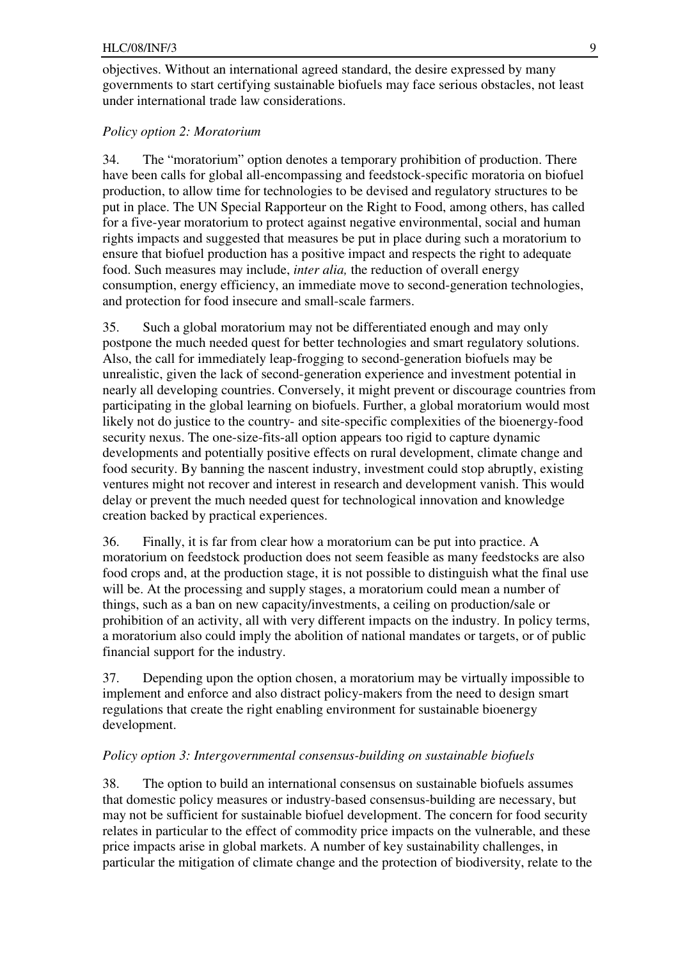objectives. Without an international agreed standard, the desire expressed by many governments to start certifying sustainable biofuels may face serious obstacles, not least under international trade law considerations.

### *Policy option 2: Moratorium*

34. The "moratorium" option denotes a temporary prohibition of production. There have been calls for global all-encompassing and feedstock-specific moratoria on biofuel production, to allow time for technologies to be devised and regulatory structures to be put in place. The UN Special Rapporteur on the Right to Food, among others, has called for a five-year moratorium to protect against negative environmental, social and human rights impacts and suggested that measures be put in place during such a moratorium to ensure that biofuel production has a positive impact and respects the right to adequate food. Such measures may include, *inter alia,* the reduction of overall energy consumption, energy efficiency, an immediate move to second-generation technologies, and protection for food insecure and small-scale farmers.

35. Such a global moratorium may not be differentiated enough and may only postpone the much needed quest for better technologies and smart regulatory solutions. Also, the call for immediately leap-frogging to second-generation biofuels may be unrealistic, given the lack of second-generation experience and investment potential in nearly all developing countries. Conversely, it might prevent or discourage countries from participating in the global learning on biofuels. Further, a global moratorium would most likely not do justice to the country- and site-specific complexities of the bioenergy-food security nexus. The one-size-fits-all option appears too rigid to capture dynamic developments and potentially positive effects on rural development, climate change and food security. By banning the nascent industry, investment could stop abruptly, existing ventures might not recover and interest in research and development vanish. This would delay or prevent the much needed quest for technological innovation and knowledge creation backed by practical experiences.

36. Finally, it is far from clear how a moratorium can be put into practice. A moratorium on feedstock production does not seem feasible as many feedstocks are also food crops and, at the production stage, it is not possible to distinguish what the final use will be. At the processing and supply stages, a moratorium could mean a number of things, such as a ban on new capacity/investments, a ceiling on production/sale or prohibition of an activity, all with very different impacts on the industry. In policy terms, a moratorium also could imply the abolition of national mandates or targets, or of public financial support for the industry.

37. Depending upon the option chosen, a moratorium may be virtually impossible to implement and enforce and also distract policy-makers from the need to design smart regulations that create the right enabling environment for sustainable bioenergy development.

#### *Policy option 3: Intergovernmental consensus-building on sustainable biofuels*

38. The option to build an international consensus on sustainable biofuels assumes that domestic policy measures or industry-based consensus-building are necessary, but may not be sufficient for sustainable biofuel development. The concern for food security relates in particular to the effect of commodity price impacts on the vulnerable, and these price impacts arise in global markets. A number of key sustainability challenges, in particular the mitigation of climate change and the protection of biodiversity, relate to the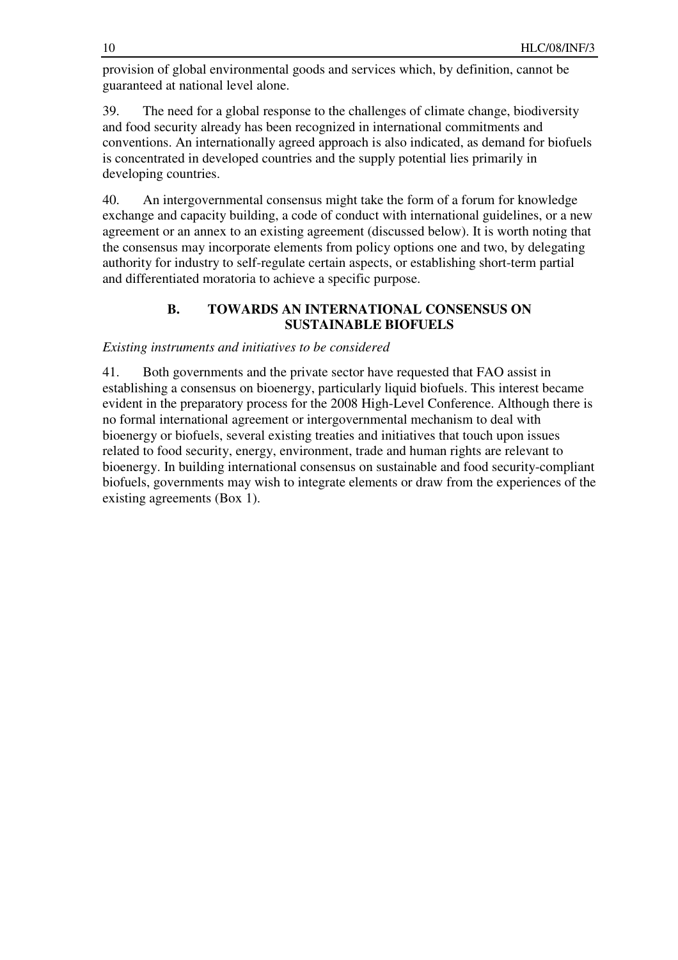provision of global environmental goods and services which, by definition, cannot be guaranteed at national level alone.

39. The need for a global response to the challenges of climate change, biodiversity and food security already has been recognized in international commitments and conventions. An internationally agreed approach is also indicated, as demand for biofuels is concentrated in developed countries and the supply potential lies primarily in developing countries.

40. An intergovernmental consensus might take the form of a forum for knowledge exchange and capacity building, a code of conduct with international guidelines, or a new agreement or an annex to an existing agreement (discussed below). It is worth noting that the consensus may incorporate elements from policy options one and two, by delegating authority for industry to self-regulate certain aspects, or establishing short-term partial and differentiated moratoria to achieve a specific purpose.

### **B. TOWARDS AN INTERNATIONAL CONSENSUS ON SUSTAINABLE BIOFUELS**

### *Existing instruments and initiatives to be considered*

41. Both governments and the private sector have requested that FAO assist in establishing a consensus on bioenergy, particularly liquid biofuels. This interest became evident in the preparatory process for the 2008 High-Level Conference. Although there is no formal international agreement or intergovernmental mechanism to deal with bioenergy or biofuels, several existing treaties and initiatives that touch upon issues related to food security, energy, environment, trade and human rights are relevant to bioenergy. In building international consensus on sustainable and food security-compliant biofuels, governments may wish to integrate elements or draw from the experiences of the existing agreements (Box 1).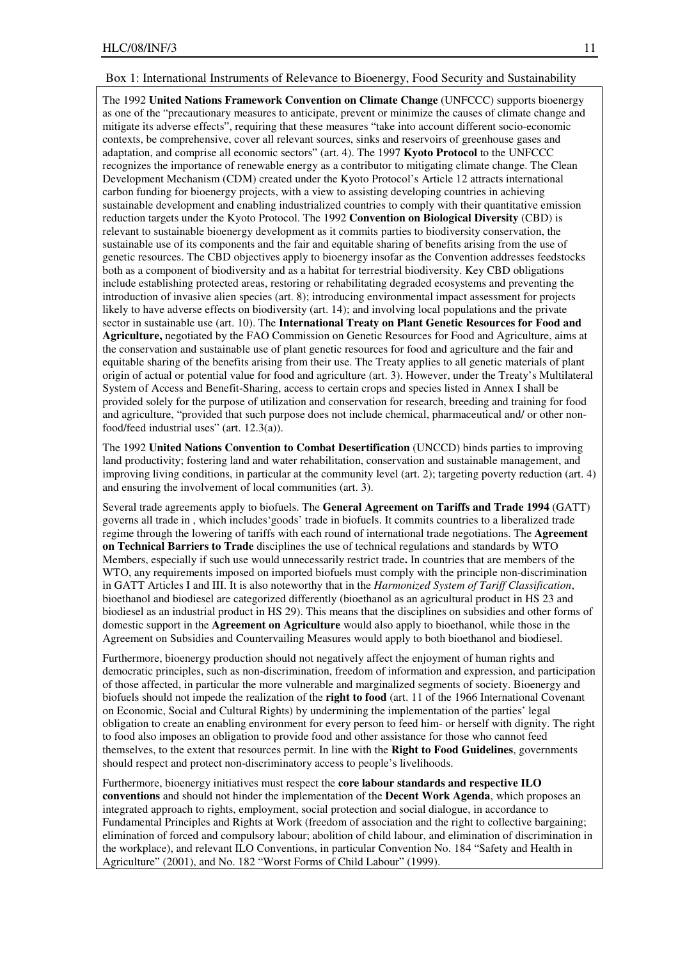#### Box 1: International Instruments of Relevance to Bioenergy, Food Security and Sustainability

The 1992 **United Nations Framework Convention on Climate Change** (UNFCCC) supports bioenergy as one of the "precautionary measures to anticipate, prevent or minimize the causes of climate change and mitigate its adverse effects", requiring that these measures "take into account different socio-economic contexts, be comprehensive, cover all relevant sources, sinks and reservoirs of greenhouse gases and adaptation, and comprise all economic sectors" (art. 4). The 1997 **Kyoto Protocol** to the UNFCCC recognizes the importance of renewable energy as a contributor to mitigating climate change. The Clean Development Mechanism (CDM) created under the Kyoto Protocol's Article 12 attracts international carbon funding for bioenergy projects, with a view to assisting developing countries in achieving sustainable development and enabling industrialized countries to comply with their quantitative emission reduction targets under the Kyoto Protocol. The 1992 **Convention on Biological Diversity** (CBD) is relevant to sustainable bioenergy development as it commits parties to biodiversity conservation, the sustainable use of its components and the fair and equitable sharing of benefits arising from the use of genetic resources. The CBD objectives apply to bioenergy insofar as the Convention addresses feedstocks both as a component of biodiversity and as a habitat for terrestrial biodiversity. Key CBD obligations include establishing protected areas, restoring or rehabilitating degraded ecosystems and preventing the introduction of invasive alien species (art. 8); introducing environmental impact assessment for projects likely to have adverse effects on biodiversity (art. 14); and involving local populations and the private sector in sustainable use (art. 10). The **International Treaty on Plant Genetic Resources for Food and Agriculture,** negotiated by the FAO Commission on Genetic Resources for Food and Agriculture, aims at the conservation and sustainable use of plant genetic resources for food and agriculture and the fair and equitable sharing of the benefits arising from their use. The Treaty applies to all genetic materials of plant origin of actual or potential value for food and agriculture (art. 3). However, under the Treaty's Multilateral System of Access and Benefit-Sharing, access to certain crops and species listed in Annex I shall be provided solely for the purpose of utilization and conservation for research, breeding and training for food and agriculture, "provided that such purpose does not include chemical, pharmaceutical and/ or other nonfood/feed industrial uses" (art. 12.3(a)).

The 1992 **United Nations Convention to Combat Desertification** (UNCCD) binds parties to improving land productivity; fostering land and water rehabilitation, conservation and sustainable management, and improving living conditions, in particular at the community level (art. 2); targeting poverty reduction (art. 4) and ensuring the involvement of local communities (art. 3).

Several trade agreements apply to biofuels. The **General Agreement on Tariffs and Trade 1994** (GATT) governs all trade in , which includes'goods' trade in biofuels. It commits countries to a liberalized trade regime through the lowering of tariffs with each round of international trade negotiations. The **Agreement on Technical Barriers to Trade** disciplines the use of technical regulations and standards by WTO Members, especially if such use would unnecessarily restrict trade**.** In countries that are members of the WTO, any requirements imposed on imported biofuels must comply with the principle non-discrimination in GATT Articles I and III. It is also noteworthy that in the *Harmonized System of Tariff Classification*, bioethanol and biodiesel are categorized differently (bioethanol as an agricultural product in HS 23 and biodiesel as an industrial product in HS 29). This means that the disciplines on subsidies and other forms of domestic support in the **Agreement on Agriculture** would also apply to bioethanol, while those in the Agreement on Subsidies and Countervailing Measures would apply to both bioethanol and biodiesel.

Furthermore, bioenergy production should not negatively affect the enjoyment of human rights and democratic principles, such as non-discrimination, freedom of information and expression, and participation of those affected, in particular the more vulnerable and marginalized segments of society. Bioenergy and biofuels should not impede the realization of the **right to food** (art. 11 of the 1966 International Covenant on Economic, Social and Cultural Rights) by undermining the implementation of the parties' legal obligation to create an enabling environment for every person to feed him- or herself with dignity. The right to food also imposes an obligation to provide food and other assistance for those who cannot feed themselves, to the extent that resources permit. In line with the **Right to Food Guidelines**, governments should respect and protect non-discriminatory access to people's livelihoods.

Furthermore, bioenergy initiatives must respect the **core labour standards and respective ILO conventions** and should not hinder the implementation of the **Decent Work Agenda**, which proposes an integrated approach to rights, employment, social protection and social dialogue, in accordance to Fundamental Principles and Rights at Work (freedom of association and the right to collective bargaining; elimination of forced and compulsory labour; abolition of child labour, and elimination of discrimination in the workplace), and relevant ILO Conventions, in particular Convention No. 184 "Safety and Health in Agriculture" (2001), and No. 182 "Worst Forms of Child Labour" (1999).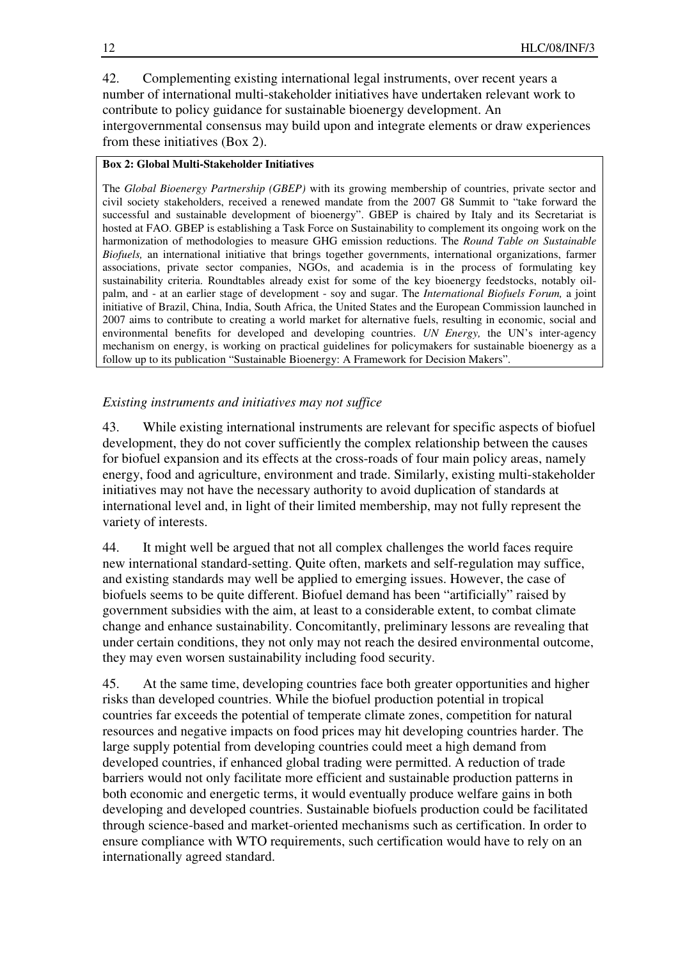42. Complementing existing international legal instruments, over recent years a number of international multi-stakeholder initiatives have undertaken relevant work to contribute to policy guidance for sustainable bioenergy development. An intergovernmental consensus may build upon and integrate elements or draw experiences from these initiatives (Box 2).

### **Box 2: Global Multi-Stakeholder Initiatives**

The *Global Bioenergy Partnership (GBEP)* with its growing membership of countries, private sector and civil society stakeholders, received a renewed mandate from the 2007 G8 Summit to "take forward the successful and sustainable development of bioenergy". GBEP is chaired by Italy and its Secretariat is hosted at FAO. GBEP is establishing a Task Force on Sustainability to complement its ongoing work on the harmonization of methodologies to measure GHG emission reductions. The *Round Table on Sustainable Biofuels,* an international initiative that brings together governments, international organizations, farmer associations, private sector companies, NGOs, and academia is in the process of formulating key sustainability criteria. Roundtables already exist for some of the key bioenergy feedstocks, notably oilpalm, and - at an earlier stage of development - soy and sugar. The *International Biofuels Forum,* a joint initiative of Brazil, China, India, South Africa, the United States and the European Commission launched in 2007 aims to contribute to creating a world market for alternative fuels, resulting in economic, social and environmental benefits for developed and developing countries. *UN Energy,* the UN's inter-agency mechanism on energy, is working on practical guidelines for policymakers for sustainable bioenergy as a follow up to its publication "Sustainable Bioenergy: A Framework for Decision Makers".

*Existing instruments and initiatives may not suffice* 

43. While existing international instruments are relevant for specific aspects of biofuel development, they do not cover sufficiently the complex relationship between the causes for biofuel expansion and its effects at the cross-roads of four main policy areas, namely energy, food and agriculture, environment and trade. Similarly, existing multi-stakeholder initiatives may not have the necessary authority to avoid duplication of standards at international level and, in light of their limited membership, may not fully represent the variety of interests.

44. It might well be argued that not all complex challenges the world faces require new international standard-setting. Quite often, markets and self-regulation may suffice, and existing standards may well be applied to emerging issues. However, the case of biofuels seems to be quite different. Biofuel demand has been "artificially" raised by government subsidies with the aim, at least to a considerable extent, to combat climate change and enhance sustainability. Concomitantly, preliminary lessons are revealing that under certain conditions, they not only may not reach the desired environmental outcome, they may even worsen sustainability including food security.

45. At the same time, developing countries face both greater opportunities and higher risks than developed countries. While the biofuel production potential in tropical countries far exceeds the potential of temperate climate zones, competition for natural resources and negative impacts on food prices may hit developing countries harder. The large supply potential from developing countries could meet a high demand from developed countries, if enhanced global trading were permitted. A reduction of trade barriers would not only facilitate more efficient and sustainable production patterns in both economic and energetic terms, it would eventually produce welfare gains in both developing and developed countries. Sustainable biofuels production could be facilitated through science-based and market-oriented mechanisms such as certification. In order to ensure compliance with WTO requirements, such certification would have to rely on an internationally agreed standard.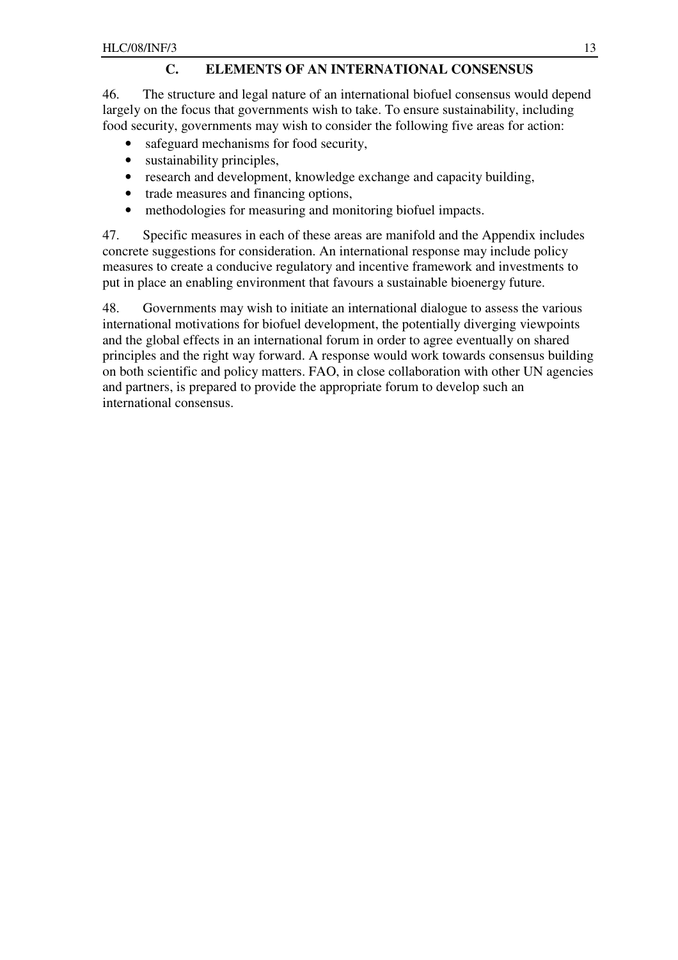### **C. ELEMENTS OF AN INTERNATIONAL CONSENSUS**

46. The structure and legal nature of an international biofuel consensus would depend largely on the focus that governments wish to take. To ensure sustainability, including food security, governments may wish to consider the following five areas for action:

- safeguard mechanisms for food security,
- sustainability principles,
- research and development, knowledge exchange and capacity building,
- trade measures and financing options,
- methodologies for measuring and monitoring biofuel impacts.

47. Specific measures in each of these areas are manifold and the Appendix includes concrete suggestions for consideration. An international response may include policy measures to create a conducive regulatory and incentive framework and investments to put in place an enabling environment that favours a sustainable bioenergy future.

48. Governments may wish to initiate an international dialogue to assess the various international motivations for biofuel development, the potentially diverging viewpoints and the global effects in an international forum in order to agree eventually on shared principles and the right way forward. A response would work towards consensus building on both scientific and policy matters. FAO, in close collaboration with other UN agencies and partners, is prepared to provide the appropriate forum to develop such an international consensus.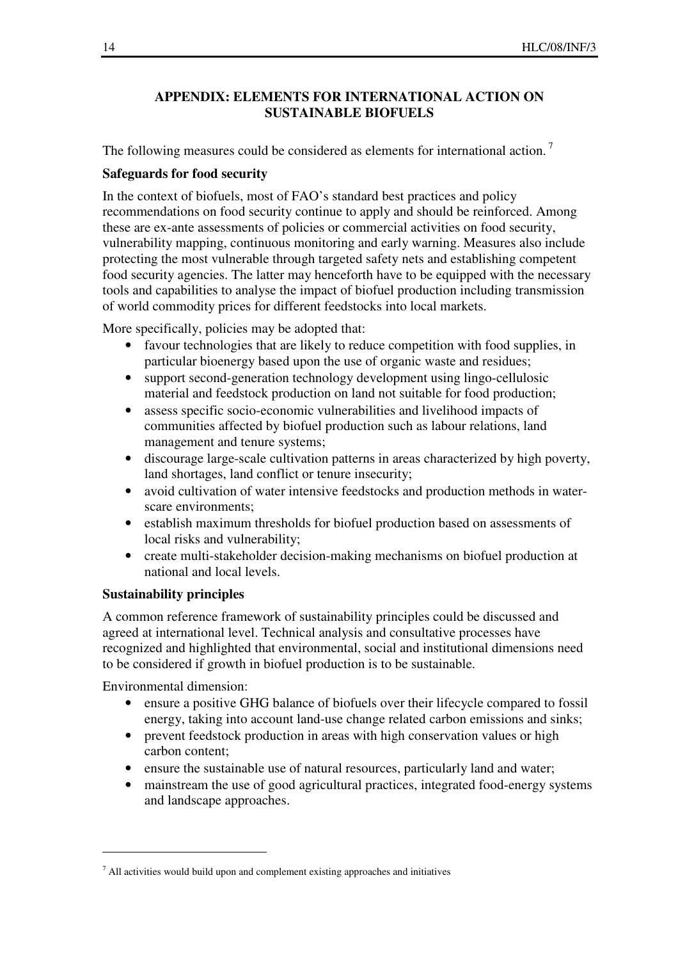### **APPENDIX: ELEMENTS FOR INTERNATIONAL ACTION ON SUSTAINABLE BIOFUELS**

The following measures could be considered as elements for international action.<sup>7</sup>

### **Safeguards for food security**

In the context of biofuels, most of FAO's standard best practices and policy recommendations on food security continue to apply and should be reinforced. Among these are ex-ante assessments of policies or commercial activities on food security, vulnerability mapping, continuous monitoring and early warning. Measures also include protecting the most vulnerable through targeted safety nets and establishing competent food security agencies. The latter may henceforth have to be equipped with the necessary tools and capabilities to analyse the impact of biofuel production including transmission of world commodity prices for different feedstocks into local markets.

More specifically, policies may be adopted that:

- favour technologies that are likely to reduce competition with food supplies, in particular bioenergy based upon the use of organic waste and residues;
- support second-generation technology development using lingo-cellulosic material and feedstock production on land not suitable for food production;
- assess specific socio-economic vulnerabilities and livelihood impacts of communities affected by biofuel production such as labour relations, land management and tenure systems;
- discourage large-scale cultivation patterns in areas characterized by high poverty, land shortages, land conflict or tenure insecurity;
- avoid cultivation of water intensive feedstocks and production methods in waterscare environments;
- establish maximum thresholds for biofuel production based on assessments of local risks and vulnerability;
- create multi-stakeholder decision-making mechanisms on biofuel production at national and local levels.

### **Sustainability principles**

A common reference framework of sustainability principles could be discussed and agreed at international level. Technical analysis and consultative processes have recognized and highlighted that environmental, social and institutional dimensions need to be considered if growth in biofuel production is to be sustainable.

Environmental dimension:

 $\overline{a}$ 

- ensure a positive GHG balance of biofuels over their lifecycle compared to fossil energy, taking into account land-use change related carbon emissions and sinks;
- prevent feedstock production in areas with high conservation values or high carbon content;
- ensure the sustainable use of natural resources, particularly land and water;
- mainstream the use of good agricultural practices, integrated food-energy systems and landscape approaches.

 $<sup>7</sup>$  All activities would build upon and complement existing approaches and initiatives</sup>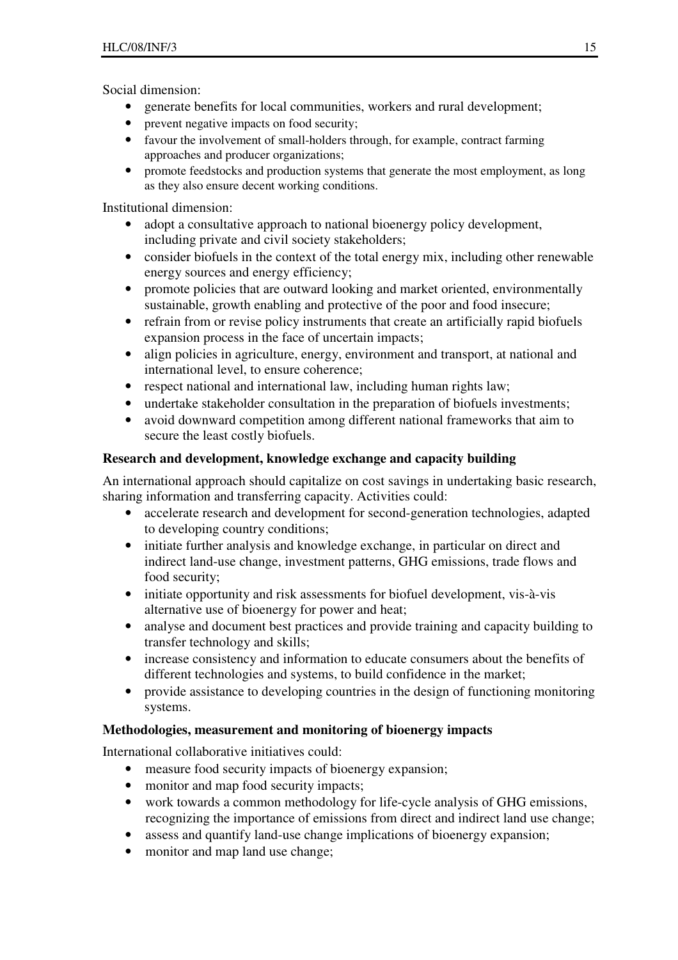Social dimension:

- generate benefits for local communities, workers and rural development;
- prevent negative impacts on food security;
- favour the involvement of small-holders through, for example, contract farming approaches and producer organizations;
- promote feedstocks and production systems that generate the most employment, as long as they also ensure decent working conditions.

Institutional dimension:

- adopt a consultative approach to national bioenergy policy development, including private and civil society stakeholders;
- consider biofuels in the context of the total energy mix, including other renewable energy sources and energy efficiency;
- promote policies that are outward looking and market oriented, environmentally sustainable, growth enabling and protective of the poor and food insecure;
- refrain from or revise policy instruments that create an artificially rapid biofuels expansion process in the face of uncertain impacts;
- align policies in agriculture, energy, environment and transport, at national and international level, to ensure coherence;
- respect national and international law, including human rights law;
- undertake stakeholder consultation in the preparation of biofuels investments;
- avoid downward competition among different national frameworks that aim to secure the least costly biofuels.

## **Research and development, knowledge exchange and capacity building**

An international approach should capitalize on cost savings in undertaking basic research, sharing information and transferring capacity. Activities could:

- accelerate research and development for second-generation technologies, adapted to developing country conditions;
- initiate further analysis and knowledge exchange, in particular on direct and indirect land-use change, investment patterns, GHG emissions, trade flows and food security;
- initiate opportunity and risk assessments for biofuel development, vis-à-vis alternative use of bioenergy for power and heat;
- analyse and document best practices and provide training and capacity building to transfer technology and skills;
- increase consistency and information to educate consumers about the benefits of different technologies and systems, to build confidence in the market;
- provide assistance to developing countries in the design of functioning monitoring systems.

# **Methodologies, measurement and monitoring of bioenergy impacts**

International collaborative initiatives could:

- measure food security impacts of bioenergy expansion;
- monitor and map food security impacts;
- work towards a common methodology for life-cycle analysis of GHG emissions, recognizing the importance of emissions from direct and indirect land use change;
- assess and quantify land-use change implications of bioenergy expansion;
- monitor and map land use change;